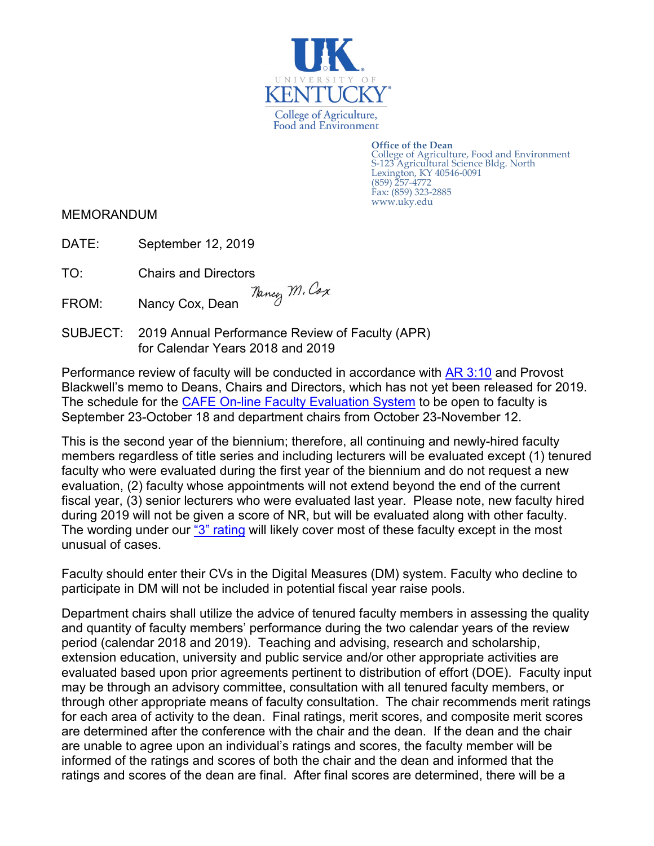

**Office of the Dean** College of Agriculture, Food and Environment S-123 Agricultural Science Bldg. North Lexington, KY 40546-0091 (859) 257-4772 Fax: (859) 323-2885 www.uky.edu

MEMORANDUM

DATE: September 12, 2019

TO: Chairs and Directors<br>FROM: Nancy Cox Doop *Mancy M. Cox* FROM: Nancy Cox, Dean

SUBJECT: 2019 Annual Performance Review of Faculty (APR) for Calendar Years 2018 and 2019

Performance review of faculty will be conducted in accordance with [AR 3:10](http://www.uky.edu/regs/files/ar/ar3-10.pdf) and Provost Blackwell's memo to Deans, Chairs and Directors, which has not yet been released for 2019. The schedule for the [CAFE On-line Faculty Evaluation System](https://acsg.uky.edu/FacultyAPR/login.aspx) to be open to faculty is September 23-October 18 and department chairs from October 23-November 12.

This is the second year of the biennium; therefore, all continuing and newly-hired faculty members regardless of title series and including lecturers will be evaluated except (1) tenured faculty who were evaluated during the first year of the biennium and do not request a new evaluation, (2) faculty whose appointments will not extend beyond the end of the current fiscal year, (3) senior lecturers who were evaluated last year. Please note, new faculty hired during 2019 will not be given a score of NR, but will be evaluated along with other faculty. The wording under our ["3" rating](http://administration.ca.uky.edu/files/apr_2019_rating_categories.pdf) will likely cover most of these faculty except in the most unusual of cases.

Faculty should enter their CVs in the Digital Measures (DM) system. Faculty who decline to participate in DM will not be included in potential fiscal year raise pools.

Department chairs shall utilize the advice of tenured faculty members in assessing the quality and quantity of faculty members' performance during the two calendar years of the review period (calendar 2018 and 2019). Teaching and advising, research and scholarship, extension education, university and public service and/or other appropriate activities are evaluated based upon prior agreements pertinent to distribution of effort (DOE). Faculty input may be through an advisory committee, consultation with all tenured faculty members, or through other appropriate means of faculty consultation. The chair recommends merit ratings for each area of activity to the dean. Final ratings, merit scores, and composite merit scores are determined after the conference with the chair and the dean. If the dean and the chair are unable to agree upon an individual's ratings and scores, the faculty member will be informed of the ratings and scores of both the chair and the dean and informed that the ratings and scores of the dean are final. After final scores are determined, there will be a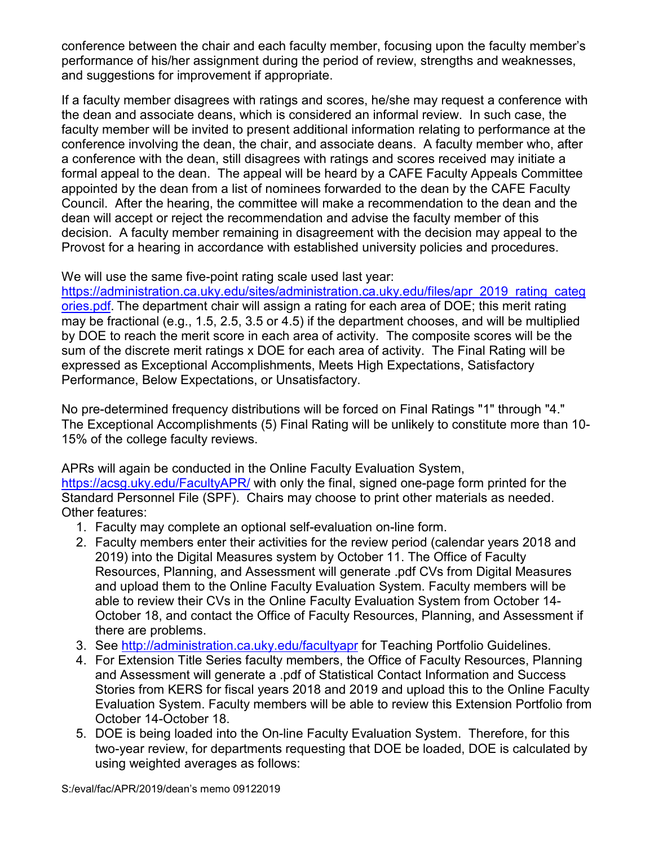conference between the chair and each faculty member, focusing upon the faculty member's performance of his/her assignment during the period of review, strengths and weaknesses, and suggestions for improvement if appropriate.

If a faculty member disagrees with ratings and scores, he/she may request a conference with the dean and associate deans, which is considered an informal review. In such case, the faculty member will be invited to present additional information relating to performance at the conference involving the dean, the chair, and associate deans. A faculty member who, after a conference with the dean, still disagrees with ratings and scores received may initiate a formal appeal to the dean. The appeal will be heard by a CAFE Faculty Appeals Committee appointed by the dean from a list of nominees forwarded to the dean by the CAFE Faculty Council. After the hearing, the committee will make a recommendation to the dean and the dean will accept or reject the recommendation and advise the faculty member of this decision. A faculty member remaining in disagreement with the decision may appeal to the Provost for a hearing in accordance with established university policies and procedures.

We will use the same five-point rating scale used last year:

[https://administration.ca.uky.edu/sites/administration.ca.uky.edu/files/apr\\_2019\\_rating\\_categ](https://administration.ca.uky.edu/sites/administration.ca.uky.edu/files/apr_2019_rating_categories.pdf) [ories.pdf.](https://administration.ca.uky.edu/sites/administration.ca.uky.edu/files/apr_2019_rating_categories.pdf) The department chair will assign a rating for each area of DOE; this merit rating may be fractional (e.g., 1.5, 2.5, 3.5 or 4.5) if the department chooses, and will be multiplied by DOE to reach the merit score in each area of activity. The composite scores will be the sum of the discrete merit ratings x DOE for each area of activity. The Final Rating will be expressed as Exceptional Accomplishments, Meets High Expectations, Satisfactory Performance, Below Expectations, or Unsatisfactory.

No pre-determined frequency distributions will be forced on Final Ratings "1" through "4." The Exceptional Accomplishments (5) Final Rating will be unlikely to constitute more than 10- 15% of the college faculty reviews.

APRs will again be conducted in the Online Faculty Evaluation System,

<https://acsg.uky.edu/FacultyAPR/> with only the final, signed one-page form printed for the Standard Personnel File (SPF). Chairs may choose to print other materials as needed. Other features:

- 1. Faculty may complete an optional self-evaluation on-line form.
- 2. Faculty members enter their activities for the review period (calendar years 2018 and 2019) into the Digital Measures system by October 11. The Office of Faculty Resources, Planning, and Assessment will generate .pdf CVs from Digital Measures and upload them to the Online Faculty Evaluation System. Faculty members will be able to review their CVs in the Online Faculty Evaluation System from October 14- October 18, and contact the Office of Faculty Resources, Planning, and Assessment if there are problems.
- 3. See<http://administration.ca.uky.edu/facultyapr> for Teaching Portfolio Guidelines.
- 4. For Extension Title Series faculty members, the Office of Faculty Resources, Planning and Assessment will generate a .pdf of Statistical Contact Information and Success Stories from KERS for fiscal years 2018 and 2019 and upload this to the Online Faculty Evaluation System. Faculty members will be able to review this Extension Portfolio from October 14-October 18.
- 5. DOE is being loaded into the On-line Faculty Evaluation System. Therefore, for this two-year review, for departments requesting that DOE be loaded, DOE is calculated by using weighted averages as follows: